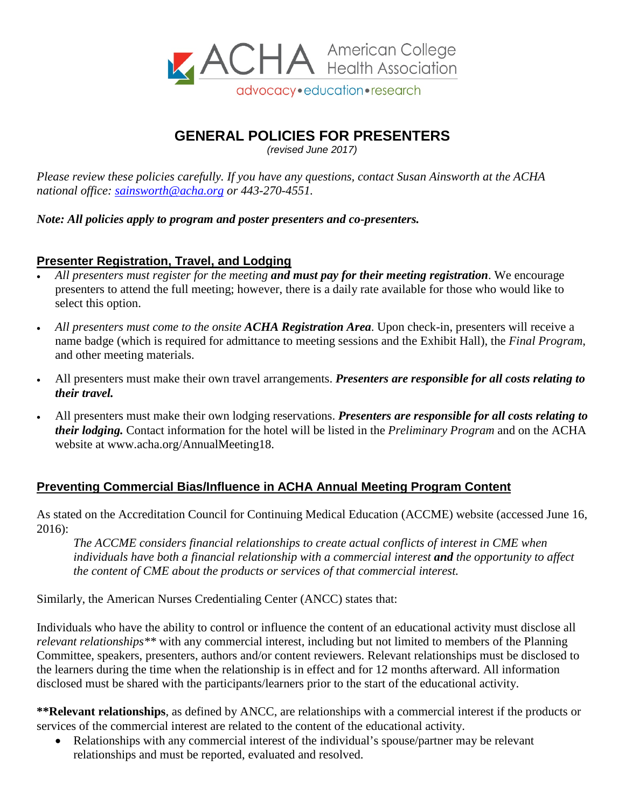

# **GENERAL POLICIES FOR PRESENTERS**

*(revised June 2017)*

*Please review these policies carefully. If you have any questions, contact Susan Ainsworth at the ACHA national office: [sainsworth@acha.org](mailto:sainsworth@acha.org) or 443-270-4551.*

*Note: All policies apply to program and poster presenters and co-presenters.*

### **Presenter Registration, Travel, and Lodging**

- *All presenters must register for the meeting and must pay for their meeting registration*. We encourage presenters to attend the full meeting; however, there is a daily rate available for those who would like to select this option.
- *All presenters must come to the onsite ACHA Registration Area*. Upon check-in, presenters will receive a name badge (which is required for admittance to meeting sessions and the Exhibit Hall), the *Final Program*, and other meeting materials.
- All presenters must make their own travel arrangements. *Presenters are responsible for all costs relating to their travel.*
- All presenters must make their own lodging reservations. *Presenters are responsible for all costs relating to their lodging.* Contact information for the hotel will be listed in the *Preliminary Program* and on the ACHA website at www.acha.org/AnnualMeeting18.

## **Preventing Commercial Bias/Influence in ACHA Annual Meeting Program Content**

As stated on the Accreditation Council for Continuing Medical Education (ACCME) website (accessed June 16, 2016):

*The ACCME considers financial relationships to create actual conflicts of interest in CME when individuals have both a financial relationship with a commercial interest and the opportunity to affect the content of CME about the products or services of that commercial interest.*

Similarly, the American Nurses Credentialing Center (ANCC) states that:

Individuals who have the ability to control or influence the content of an educational activity must disclose all *relevant relationships\*\** with any commercial interest, including but not limited to members of the Planning Committee, speakers, presenters, authors and/or content reviewers. Relevant relationships must be disclosed to the learners during the time when the relationship is in effect and for 12 months afterward. All information disclosed must be shared with the participants/learners prior to the start of the educational activity.

**\*\*Relevant relationships**, as defined by ANCC, are relationships with a commercial interest if the products or services of the commercial interest are related to the content of the educational activity.

• Relationships with any commercial interest of the individual's spouse/partner may be relevant relationships and must be reported, evaluated and resolved.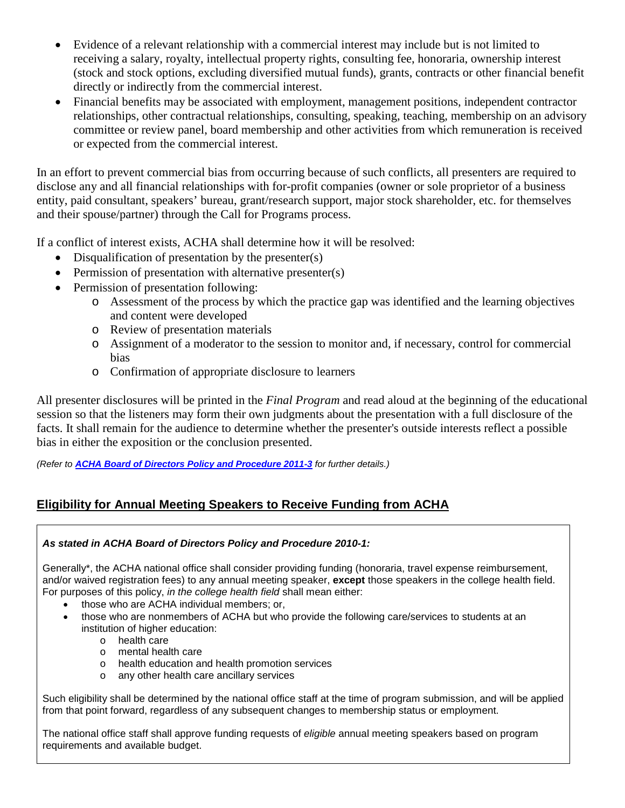- Evidence of a relevant relationship with a commercial interest may include but is not limited to receiving a salary, royalty, intellectual property rights, consulting fee, honoraria, ownership interest (stock and stock options, excluding diversified mutual funds), grants, contracts or other financial benefit directly or indirectly from the commercial interest.
- Financial benefits may be associated with employment, management positions, independent contractor relationships, other contractual relationships, consulting, speaking, teaching, membership on an advisory committee or review panel, board membership and other activities from which remuneration is received or expected from the commercial interest.

In an effort to prevent commercial bias from occurring because of such conflicts, all presenters are required to disclose any and all financial relationships with for-profit companies (owner or sole proprietor of a business entity, paid consultant, speakers' bureau, grant/research support, major stock shareholder, etc. for themselves and their spouse/partner) through the Call for Programs process.

If a conflict of interest exists, ACHA shall determine how it will be resolved:

- Disqualification of presentation by the presenter(s)
- Permission of presentation with alternative presenter(s)
- Permission of presentation following:
	- o Assessment of the process by which the practice gap was identified and the learning objectives and content were developed
	- o Review of presentation materials
	- o Assignment of a moderator to the session to monitor and, if necessary, control for commercial bias
	- o Confirmation of appropriate disclosure to learners

All presenter disclosures will be printed in the *Final Program* and read aloud at the beginning of the educational session so that the listeners may form their own judgments about the presentation with a full disclosure of the facts. It shall remain for the audience to determine whether the presenter's outside interests reflect a possible bias in either the exposition or the conclusion presented.

*(Refer to [ACHA Board of Directors Policy and Procedure 2011-3](https://www.acha.org/documents/About/Gov/BOD_P_P_2011-3_Preventing_Commercial_Bias_Influence_in_ACHA_Annual_Meeting_Program_Content.pdf) for further details.)*

## **Eligibility for Annual Meeting Speakers to Receive Funding from ACHA**

#### *As stated in ACHA Board of Directors Policy and Procedure 2010-1:*

Generally\*, the ACHA national office shall consider providing funding (honoraria, travel expense reimbursement, and/or waived registration fees) to any annual meeting speaker, **except** those speakers in the college health field. For purposes of this policy, *in the college health field* shall mean either:

- those who are ACHA individual members; or,
- those who are nonmembers of ACHA but who provide the following care/services to students at an institution of higher education:
	- o health care
	- o mental health care
	- o health education and health promotion services
	- o any other health care ancillary services

Such eligibility shall be determined by the national office staff at the time of program submission, and will be applied from that point forward, regardless of any subsequent changes to membership status or employment.

The national office staff shall approve funding requests of *eligible* annual meeting speakers based on program requirements and available budget.